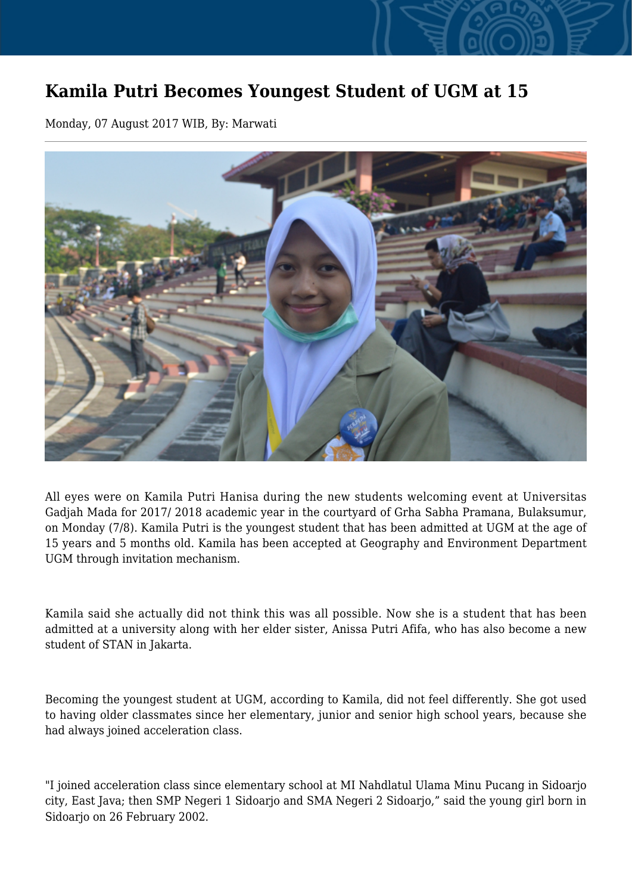## **Kamila Putri Becomes Youngest Student of UGM at 15**

Monday, 07 August 2017 WIB, By: Marwati



All eyes were on Kamila Putri Hanisa during the new students welcoming event at Universitas Gadjah Mada for 2017/ 2018 academic year in the courtyard of Grha Sabha Pramana, Bulaksumur, on Monday (7/8). Kamila Putri is the youngest student that has been admitted at UGM at the age of 15 years and 5 months old. Kamila has been accepted at Geography and Environment Department UGM through invitation mechanism.

Kamila said she actually did not think this was all possible. Now she is a student that has been admitted at a university along with her elder sister, Anissa Putri Afifa, who has also become a new student of STAN in Jakarta.

Becoming the youngest student at UGM, according to Kamila, did not feel differently. She got used to having older classmates since her elementary, junior and senior high school years, because she had always joined acceleration class.

"I joined acceleration class since elementary school at MI Nahdlatul Ulama Minu Pucang in Sidoarjo city, East Java; then SMP Negeri 1 Sidoarjo and SMA Negeri 2 Sidoarjo," said the young girl born in Sidoarjo on 26 February 2002.